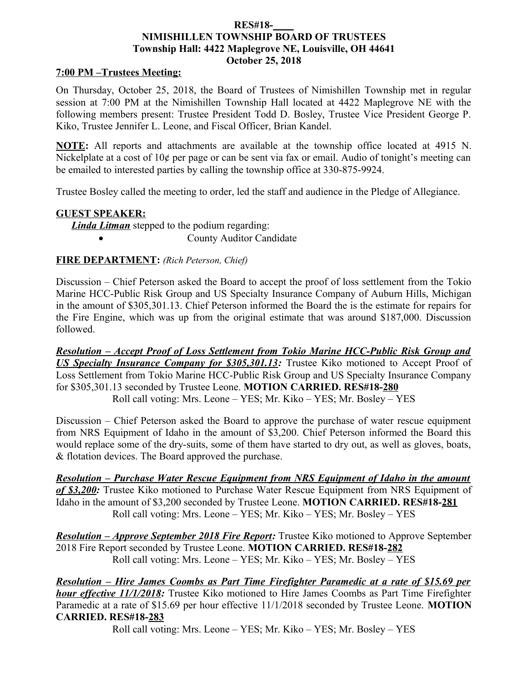### **RES#18-\_\_\_\_ NIMISHILLEN TOWNSHIP BOARD OF TRUSTEES Township Hall: 4422 Maplegrove NE, Louisville, OH 44641 October 25, 2018**

### **7:00 PM –Trustees Meeting:**

On Thursday, October 25, 2018, the Board of Trustees of Nimishillen Township met in regular session at 7:00 PM at the Nimishillen Township Hall located at 4422 Maplegrove NE with the following members present: Trustee President Todd D. Bosley, Trustee Vice President George P. Kiko, Trustee Jennifer L. Leone, and Fiscal Officer, Brian Kandel.

**NOTE:** All reports and attachments are available at the township office located at 4915 N. Nickelplate at a cost of 10¢ per page or can be sent via fax or email. Audio of tonight's meeting can be emailed to interested parties by calling the township office at 330-875-9924.

Trustee Bosley called the meeting to order, led the staff and audience in the Pledge of Allegiance.

#### **GUEST SPEAKER:**

*Linda Litman* stepped to the podium regarding:

County Auditor Candidate

### **FIRE DEPARTMENT:** *(Rich Peterson, Chief)*

Discussion – Chief Peterson asked the Board to accept the proof of loss settlement from the Tokio Marine HCC-Public Risk Group and US Specialty Insurance Company of Auburn Hills, Michigan in the amount of \$305,301.13. Chief Peterson informed the Board the is the estimate for repairs for the Fire Engine, which was up from the original estimate that was around \$187,000. Discussion followed.

*Resolution – Accept Proof of Loss Settlement from Tokio Marine HCC-Public Risk Group and US Specialty Insurance Company for \$305,301.13:* Trustee Kiko motioned to Accept Proof of Loss Settlement from Tokio Marine HCC-Public Risk Group and US Specialty Insurance Company for \$305,301.13 seconded by Trustee Leone. **MOTION CARRIED. RES#18-280** Roll call voting: Mrs. Leone – YES; Mr. Kiko – YES; Mr. Bosley – YES

Discussion – Chief Peterson asked the Board to approve the purchase of water rescue equipment from NRS Equipment of Idaho in the amount of \$3,200. Chief Peterson informed the Board this would replace some of the dry-suits, some of them have started to dry out, as well as gloves, boats, & flotation devices. The Board approved the purchase.

*Resolution – Purchase Water Rescue Equipment from NRS Equipment of Idaho in the amount of \$3,200:* Trustee Kiko motioned to Purchase Water Rescue Equipment from NRS Equipment of Idaho in the amount of \$3,200 seconded by Trustee Leone. **MOTION CARRIED. RES#18-281** Roll call voting: Mrs. Leone – YES; Mr. Kiko – YES; Mr. Bosley – YES

*Resolution – Approve September 2018 Fire Report:* Trustee Kiko motioned to Approve September 2018 Fire Report seconded by Trustee Leone. **MOTION CARRIED. RES#18-282** Roll call voting: Mrs. Leone – YES; Mr. Kiko – YES; Mr. Bosley – YES

*Resolution – Hire James Coombs as Part Time Firefighter Paramedic at a rate of \$15.69 per hour effective 11/1/2018*: Trustee Kiko motioned to Hire James Coombs as Part Time Firefighter Paramedic at a rate of \$15.69 per hour effective 11/1/2018 seconded by Trustee Leone. **MOTION CARRIED. RES#18-283**

Roll call voting: Mrs. Leone – YES; Mr. Kiko – YES; Mr. Bosley – YES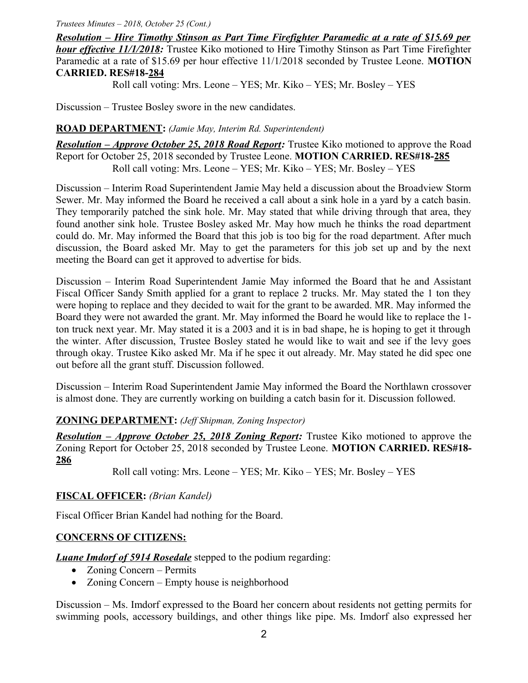#### *Trustees Minutes – 2018, October 25 (Cont.)*

*Resolution – Hire Timothy Stinson as Part Time Firefighter Paramedic at a rate of \$15.69 per hour effective 11/1/2018:* Trustee Kiko motioned to Hire Timothy Stinson as Part Time Firefighter Paramedic at a rate of \$15.69 per hour effective 11/1/2018 seconded by Trustee Leone. **MOTION CARRIED. RES#18-284**

Roll call voting: Mrs. Leone – YES; Mr. Kiko – YES; Mr. Bosley – YES

Discussion – Trustee Bosley swore in the new candidates.

#### **ROAD DEPARTMENT:** *(Jamie May, Interim Rd. Superintendent)*

*Resolution – Approve October 25, 2018 Road Report:* Trustee Kiko motioned to approve the Road Report for October 25, 2018 seconded by Trustee Leone. **MOTION CARRIED. RES#18-285** Roll call voting: Mrs. Leone – YES; Mr. Kiko – YES; Mr. Bosley – YES

Discussion – Interim Road Superintendent Jamie May held a discussion about the Broadview Storm Sewer. Mr. May informed the Board he received a call about a sink hole in a yard by a catch basin. They temporarily patched the sink hole. Mr. May stated that while driving through that area, they found another sink hole. Trustee Bosley asked Mr. May how much he thinks the road department could do. Mr. May informed the Board that this job is too big for the road department. After much discussion, the Board asked Mr. May to get the parameters for this job set up and by the next meeting the Board can get it approved to advertise for bids.

Discussion – Interim Road Superintendent Jamie May informed the Board that he and Assistant Fiscal Officer Sandy Smith applied for a grant to replace 2 trucks. Mr. May stated the 1 ton they were hoping to replace and they decided to wait for the grant to be awarded. MR. May informed the Board they were not awarded the grant. Mr. May informed the Board he would like to replace the 1 ton truck next year. Mr. May stated it is a 2003 and it is in bad shape, he is hoping to get it through the winter. After discussion, Trustee Bosley stated he would like to wait and see if the levy goes through okay. Trustee Kiko asked Mr. Ma if he spec it out already. Mr. May stated he did spec one out before all the grant stuff. Discussion followed.

Discussion – Interim Road Superintendent Jamie May informed the Board the Northlawn crossover is almost done. They are currently working on building a catch basin for it. Discussion followed.

### **ZONING DEPARTMENT:** *(Jeff Shipman, Zoning Inspector)*

*Resolution – Approve October 25, 2018 Zoning Report:* Trustee Kiko motioned to approve the Zoning Report for October 25, 2018 seconded by Trustee Leone. **MOTION CARRIED. RES#18- 286**

Roll call voting: Mrs. Leone – YES; Mr. Kiko – YES; Mr. Bosley – YES

### **FISCAL OFFICER:** *(Brian Kandel)*

Fiscal Officer Brian Kandel had nothing for the Board.

### **CONCERNS OF CITIZENS:**

*Luane Imdorf of 5914 Rosedale* stepped to the podium regarding:

- Zoning Concern Permits
- Zoning Concern Empty house is neighborhood

Discussion – Ms. Imdorf expressed to the Board her concern about residents not getting permits for swimming pools, accessory buildings, and other things like pipe. Ms. Imdorf also expressed her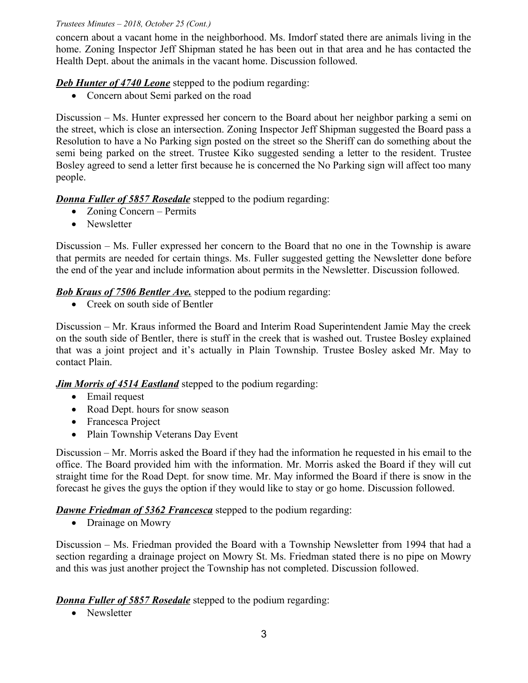### *Trustees Minutes – 2018, October 25 (Cont.)*

concern about a vacant home in the neighborhood. Ms. Imdorf stated there are animals living in the home. Zoning Inspector Jeff Shipman stated he has been out in that area and he has contacted the Health Dept. about the animals in the vacant home. Discussion followed.

## **Deb Hunter of 4740 Leone** stepped to the podium regarding:

Concern about Semi parked on the road

Discussion – Ms. Hunter expressed her concern to the Board about her neighbor parking a semi on the street, which is close an intersection. Zoning Inspector Jeff Shipman suggested the Board pass a Resolution to have a No Parking sign posted on the street so the Sheriff can do something about the semi being parked on the street. Trustee Kiko suggested sending a letter to the resident. Trustee Bosley agreed to send a letter first because he is concerned the No Parking sign will affect too many people.

## *Donna Fuller of 5857 Rosedale* stepped to the podium regarding:

- Zoning Concern Permits
- Newsletter

Discussion – Ms. Fuller expressed her concern to the Board that no one in the Township is aware that permits are needed for certain things. Ms. Fuller suggested getting the Newsletter done before the end of the year and include information about permits in the Newsletter. Discussion followed.

## *Bob Kraus of 7506 Bentler Ave.* stepped to the podium regarding:

• Creek on south side of Bentler

Discussion – Mr. Kraus informed the Board and Interim Road Superintendent Jamie May the creek on the south side of Bentler, there is stuff in the creek that is washed out. Trustee Bosley explained that was a joint project and it's actually in Plain Township. Trustee Bosley asked Mr. May to contact Plain.

*Jim Morris of 4514 Eastland* stepped to the podium regarding:

- Email request
- Road Dept. hours for snow season
- Francesca Project
- Plain Township Veterans Day Event

Discussion – Mr. Morris asked the Board if they had the information he requested in his email to the office. The Board provided him with the information. Mr. Morris asked the Board if they will cut straight time for the Road Dept. for snow time. Mr. May informed the Board if there is snow in the forecast he gives the guys the option if they would like to stay or go home. Discussion followed.

# *Dawne Friedman of 5362 Francesca* stepped to the podium regarding:

• Drainage on Mowry

Discussion – Ms. Friedman provided the Board with a Township Newsletter from 1994 that had a section regarding a drainage project on Mowry St. Ms. Friedman stated there is no pipe on Mowry and this was just another project the Township has not completed. Discussion followed.

*Donna Fuller of 5857 Rosedale* stepped to the podium regarding:

• Newsletter